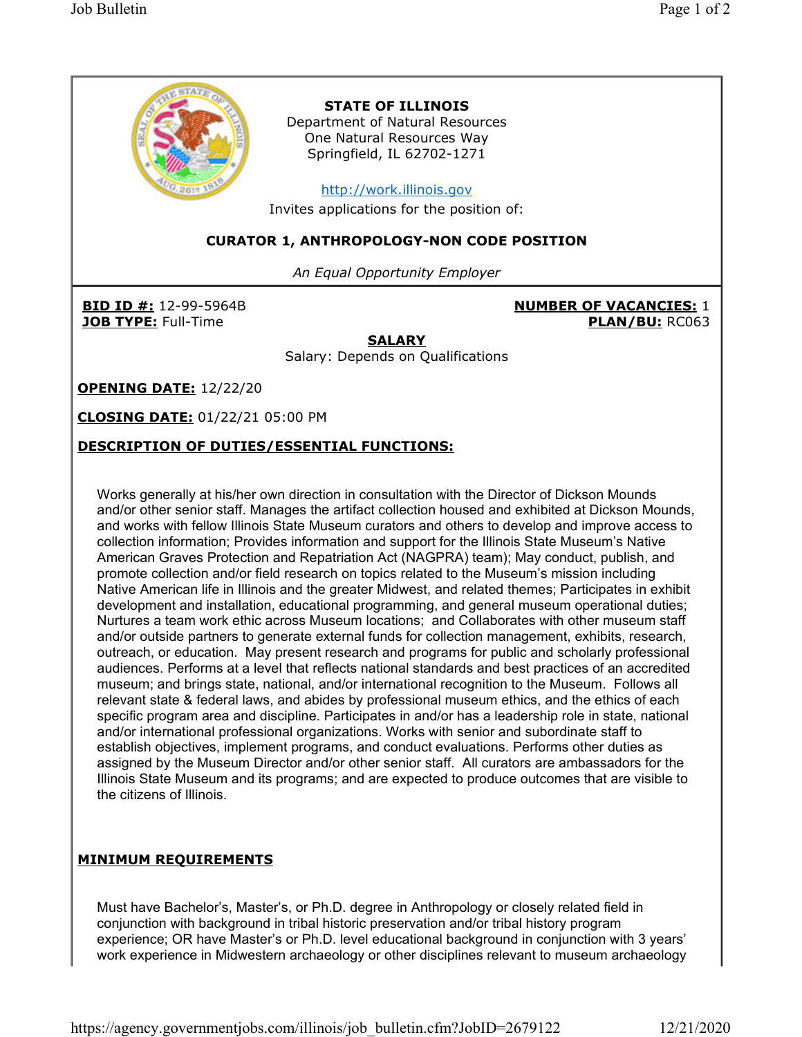

## DESCRIPTION OF DUTIES/ESSENTIAL FUNCTIONS:

Works generally at his/her own direction in consultation with the Director of Dickson Mounds and/or other senior staff. Manages the artifact collection housed and exhibited at Dickson Mounds, and works with fellow Illinois State Museum curators and others to develop and improve access to collection information; Provides information and support for the Illinois State Museum's Native American Graves Protection and Repatriation Act (NAGPRA) team); May conduct, publish, and promote collection and/or field research on topics related to the Museum's mission including Native American life in Illinois and the greater Midwest, and related themes; Participates in exhibit development and installation, educational programming, and general museum operational duties; Nurtures a team work ethic across Museum locations; and Collaborates with other museum staff and/or outside partners to generate external funds for collection management, exhibits, research, outreach, or education. May present research and programs for public and scholarly professional audiences. Performs at a level that reflects national standards and best practices of an accredited museum; and brings state, national, and/or international recognition to the Museum. Follows all relevant state & federal laws, and abides by professional museum ethics, and the ethics of each specific program area and discipline. Participates in and/or has a leadership role in state, national and/or international professional organizations. Works with senior and subordinate staff to establish objectives, implement programs, and conduct evaluations. Performs other duties as assigned by the Museum Director and/or other senior staff. All curators are ambassadors for the Illinois State Museum and its programs; and are expected to produce outcomes that are visible to the citizens of Illinois.

# MINIMUM REQUIREMENTS

Must have Bachelor's, Master's, or Ph.D. degree in Anthropology or closely related field in conjunction with background in tribal historic preservation and/or tribal history program experience; OR have Master's or Ph.D. level educational background in conjunction with 3 years' work experience in Midwestern archaeology or other disciplines relevant to museum archaeology

https://agency.governmentjobs.com/illinois/job\_bulletin.cfm?JobID=2679122 12/21/2020